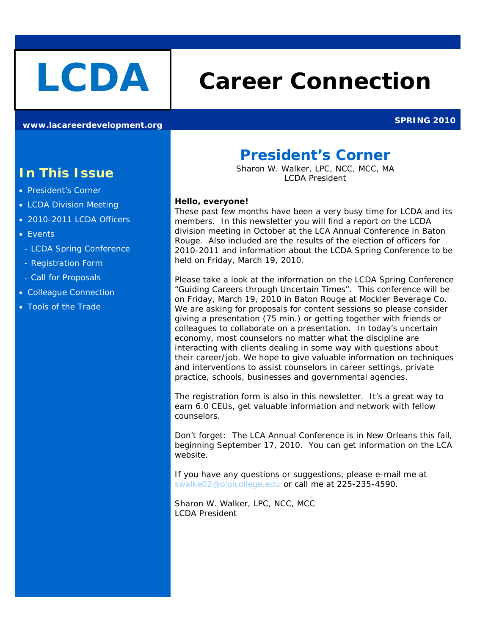# **LCDA Career Connection**

**[www.lacareerdevelopment.org](http://www.lacareerdevelopment.org/) SPRING 2010** 

## **In This Issue**

- President's Corner
- LCDA Division Meeting
- 2010-2011 LCDA Officers
- Events
- LCDA Spring Conference
- Registration Form
- Call for Proposals
- Colleague Connection
- Tools of the Trade

## **President's Corner**

*Sharon W. Walker, LPC, NCC, MCC, MA LCDA President*

#### *Hello, everyone!*

These past few months have been a very busy time for LCDA and its members. In this newsletter you will find a report on the LCDA division meeting in October at the LCA Annual Conference in Baton Rouge. Also included are the results of the election of officers for 2010-2011 and information about the LCDA Spring Conference to be held on Friday, March 19, 2010.

Please take a look at the information on the LCDA Spring Conference "Guiding Careers through Uncertain Times". This conference will be on Friday, March 19, 2010 in Baton Rouge at Mockler Beverage Co. We are asking for proposals for content sessions so please consider giving a presentation (75 min.) or getting together with friends or colleagues to collaborate on a presentation. In today's uncertain economy, most counselors no matter what the discipline are interacting with clients dealing in some way with questions about their career/job. We hope to give valuable information on techniques and interventions to assist counselors in career settings, private practice, schools, businesses and governmental agencies.

The registration form is also in this newsletter. It's a great way to earn 6.0 CEUs, get valuable information and network with fellow counselors.

Don't forget: The LCA Annual Conference is in New Orleans this fall, beginning September 17, 2010. You can get information on the LCA website.

If you have any questions or suggestions, please e-mail me at [swalke02@ololcollege.edu](mailto:swalke02@ololcollege.edu) or call me at 225-235-4590.

Sharon W. Walker, LPC, NCC, MCC LCDA President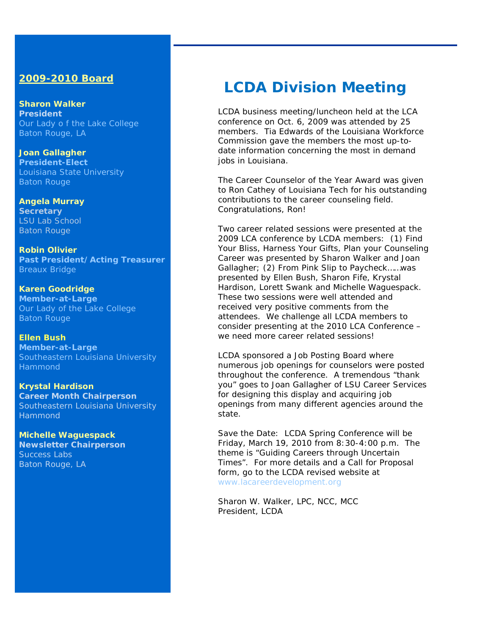### **2009-2010 Board**

*Sharon Walker President* Our Lady o f the Lake College Baton Rouge, LA

*Joan Gallagher President-Elect* Louisiana State University Baton Rouge

*Angela Murray Secretary* LSU Lab School Baton Rouge

*Robin Olivier Past President/Acting Treasurer* Breaux Bridge

*Karen Goodridge Member-at-Large* Our Lady of the Lake College Baton Rouge

**Ellen Bush Member-at-Large** Southeastern Louisiana University Hammond

*Krystal Hardison Career Month Chairperson* Southeastern Louisiana University Hammond

*Michelle Waguespack Newsletter Chairperson* Success Labs Baton Rouge, LA

## **LCDA Division Meeting**

LCDA business meeting/luncheon held at the LCA conference on Oct. 6, 2009 was attended by 25 members. Tia Edwards of the Louisiana Workforce Commission gave the members the most up-todate information concerning the most in demand jobs in Louisiana.

The Career Counselor of the Year Award was given to Ron Cathey of Louisiana Tech for his outstanding contributions to the career counseling field. Congratulations, Ron!

Two career related sessions were presented at the 2009 LCA conference by LCDA members: (1) Find Your Bliss, Harness Your Gifts, Plan your Counseling Career was presented by Sharon Walker and Joan Gallagher; (2) From Pink Slip to Paycheck……was presented by Ellen Bush, Sharon Fife, Krystal Hardison, Lorett Swank and Michelle Waguespack. These two sessions were well attended and received very positive comments from the attendees. We challenge all LCDA members to consider presenting at the 2010 LCA Conference – we need more career related sessions!

LCDA sponsored a Job Posting Board where numerous job openings for counselors were posted throughout the conference. A tremendous "thank you" goes to Joan Gallagher of LSU Career Services for designing this display and acquiring job openings from many different agencies around the state.

Save the Date: LCDA Spring Conference will be Friday, March 19, 2010 from 8:30-4:00 p.m. The theme is "Guiding Careers through Uncertain Times". For more details and a Call for Proposal form, go to the LCDA revised website at [www.lacareerdevelopment.org](http://www.lacareerdevelopment.org/)

Sharon W. Walker, LPC, NCC, MCC President, LCDA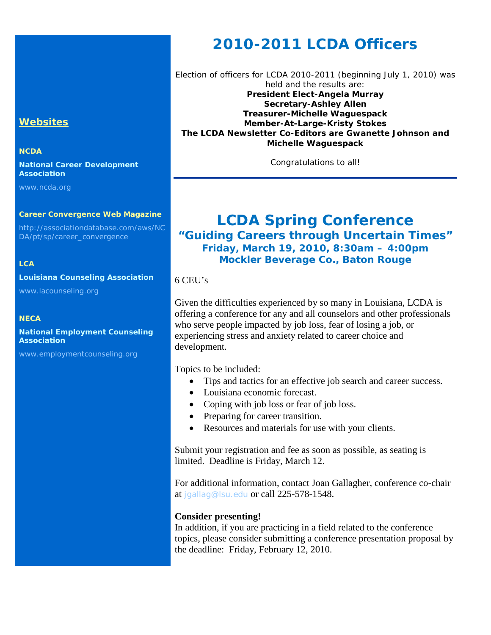## **Websites**

#### **NCDA**

**National Career Development Association**

[www.ncda.org](http://www.ncda.org/)

#### **Career Convergence Web Magazine**

[http://associationdatabase.com/aws/NC](http://associationdatabase.com/aws/NCDA/pt/sp/career_convergence) [DA/pt/sp/career\\_convergence](http://associationdatabase.com/aws/NCDA/pt/sp/career_convergence)

#### **LCA**

**Louisiana Counseling Association**

[www.lacounseling.org](http://www.lacounseling.org/)

#### **NECA**

**National Employment Counseling Association**

[www.employmentcounseling.org](http://www.employmentcounseling.org/)

## **2010-2011 LCDA Officers**

Election of officers for LCDA 2010-2011 (beginning July 1, 2010) was held and the results are: *President Elect-Angela Murray Secretary-Ashley Allen Treasurer-Michelle Waguespack Member-At-Large-Kristy Stokes The LCDA Newsletter Co-Editors are Gwanette Johnson and Michelle Waguespack* 

Congratulations to all!

## **LCDA Spring Conference** *"Guiding Careers through Uncertain Times" Friday, March 19, 2010, 8:30am – 4:00pm Mockler Beverage Co., Baton Rouge*

#### 6 CEU's

Given the difficulties experienced by so many in Louisiana, LCDA is offering a conference for any and all counselors and other professionals who serve people impacted by job loss, fear of losing a job, or experiencing stress and anxiety related to career choice and development.

Topics to be included:

- Tips and tactics for an effective job search and career success.
- Louisiana economic forecast.
- Coping with job loss or fear of job loss.
- Preparing for career transition.
- Resources and materials for use with your clients.

Submit your registration and fee as soon as possible, as seating is limited. Deadline is Friday, March 12.

For additional information, contact Joan Gallagher, conference co-chair at [jgallag@lsu.edu](mailto:jgallag@lsu.edu) or call 225-578-1548.

#### **Consider presenting!**

In addition, if you are practicing in a field related to the conference topics, please consider submitting a conference presentation proposal by the deadline: Friday, February 12, 2010.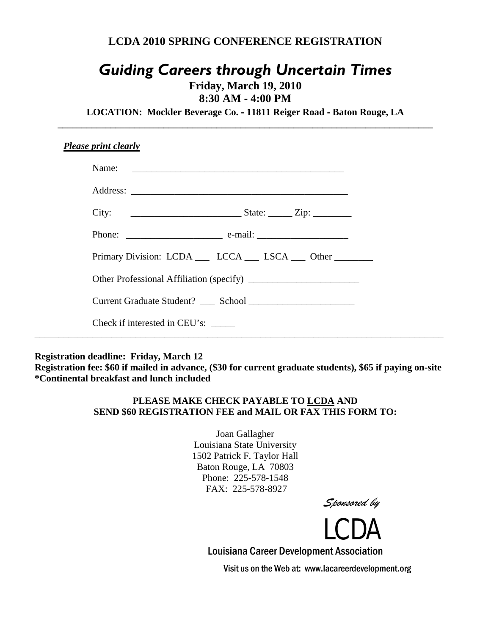## **LCDA 2010 SPRING CONFERENCE REGISTRATION**

## *Guiding Careers through Uncertain Times*

**Friday, March 19, 2010**

**8:30 AM - 4:00 PM**

**LOCATION: Mockler Beverage Co.** - **11811 Reiger Road** - **Baton Rouge, LA \_\_\_\_\_\_\_\_\_\_\_\_\_\_\_\_\_\_\_\_\_\_\_\_\_\_\_\_\_\_\_\_\_\_\_\_\_\_\_\_\_\_\_\_\_\_\_\_\_\_\_\_\_\_\_\_\_\_\_\_\_\_\_\_\_\_\_\_\_\_\_\_\_\_\_\_\_\_**

| <b>Please print clearly</b>                                |  |
|------------------------------------------------------------|--|
|                                                            |  |
|                                                            |  |
| City: $\qquad \qquad \qquad$ State: $\qquad \qquad$ Zip:   |  |
|                                                            |  |
| Primary Division: LCDA ___ LCCA ___ LSCA ___ Other _______ |  |
|                                                            |  |
|                                                            |  |
| Check if interested in CEU's:                              |  |
|                                                            |  |

**Registration deadline: Friday, March 12**

**Registration fee: \$60 if mailed in advance, (\$30 for current graduate students), \$65 if paying on-site \*Continental breakfast and lunch included**

### **PLEASE MAKE CHECK PAYABLE TO LCDA AND SEND \$60 REGISTRATION FEE and MAIL OR FAX THIS FORM TO:**

Joan Gallagher Louisiana State University 1502 Patrick F. Taylor Hall Baton Rouge, LA 70803 Phone: 225-578-1548 FAX: 225-578-8927





Louisiana Career Development Association

Visit us on the Web at: www.lacareerdevelopment.org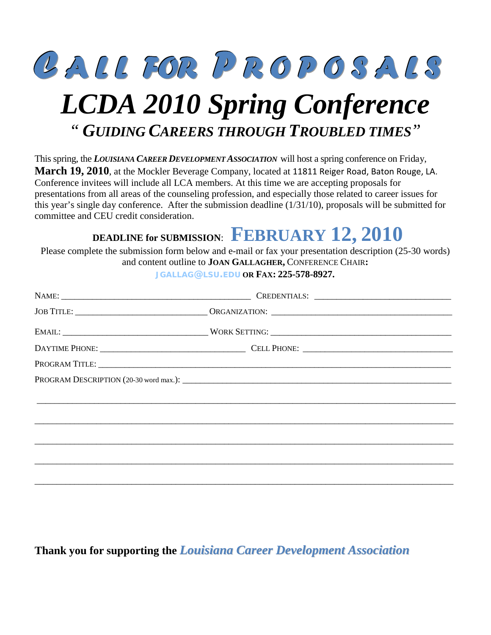

## *LCDA 2010 Spring Conference* *" GUIDING CAREERS THROUGH TROUBLED TIMES"*

This spring, the *LOUISIANA CAREER DEVELOPMENT ASSOCIATION* will host a spring conference on Friday, **March 19, 2010**, at the Mockler Beverage Company, located at 11811 Reiger Road, Baton Rouge, LA. Conference invitees will include all LCA members. At this time we are accepting proposals for presentations from all areas of the counseling profession, and especially those related to career issues for this year's single day conference. After the submission deadline (1/31/10), proposals will be submitted for committee and CEU credit consideration.

## **DEADLINE for SUBMISSION**: **FEBRUARY 12, 2010**

Please complete the submission form below and e-mail or fax your presentation description (25-30 words) and content outline to **JOAN GALLAGHER,** CONFERENCE CHAIR**:** 

**[JGALLAG@LSU.EDU](mailto:jgallag@lsu.edu) OR FAX: 225-578-8927.**

| PROGRAM TITLE: University of the contract of the contract of the contract of the contract of the contract of the contract of the contract of the contract of the contract of the contract of the contract of the contract of t |
|--------------------------------------------------------------------------------------------------------------------------------------------------------------------------------------------------------------------------------|
|                                                                                                                                                                                                                                |
|                                                                                                                                                                                                                                |
|                                                                                                                                                                                                                                |
|                                                                                                                                                                                                                                |
|                                                                                                                                                                                                                                |
|                                                                                                                                                                                                                                |
|                                                                                                                                                                                                                                |
|                                                                                                                                                                                                                                |

**Thank you for supporting the** *Louisiana Career Development Association*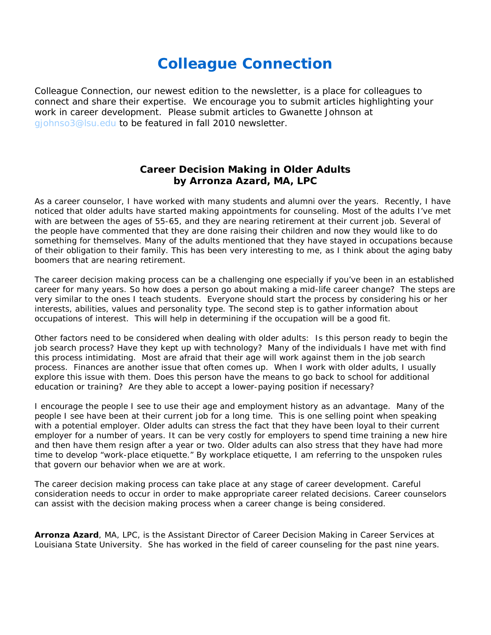## **Colleague Connection**

*Colleague Connection, our newest edition to the newsletter, is a place for colleagues to connect and share their expertise. We encourage you to submit articles highlighting your work in career development. Please submit articles to Gwanette Johnson at [gjohnso3@lsu.edu](mailto:gjohnso3@lsu.edu) to be featured in fall 2010 newsletter.*

## **Career Decision Making in Older Adults by Arronza Azard, MA, LPC**

As a career counselor, I have worked with many students and alumni over the years. Recently, I have noticed that older adults have started making appointments for counseling. Most of the adults I've met with are between the ages of 55-65, and they are nearing retirement at their current job. Several of the people have commented that they are done raising their children and now they would like to do something for themselves. Many of the adults mentioned that they have stayed in occupations because of their obligation to their family. This has been very interesting to me, as I think about the aging baby boomers that are nearing retirement.

The career decision making process can be a challenging one especially if you've been in an established career for many years. So how does a person go about making a mid-life career change? The steps are very similar to the ones I teach students. Everyone should start the process by considering his or her interests, abilities, values and personality type. The second step is to gather information about occupations of interest. This will help in determining if the occupation will be a good fit.

Other factors need to be considered when dealing with older adults: Is this person ready to begin the job search process? Have they kept up with technology? Many of the individuals I have met with find this process intimidating. Most are afraid that their age will work against them in the job search process. Finances are another issue that often comes up. When I work with older adults, I usually explore this issue with them. Does this person have the means to go back to school for additional education or training? Are they able to accept a lower-paying position if necessary?

I encourage the people I see to use their age and employment history as an advantage. Many of the people I see have been at their current job for a long time. This is one selling point when speaking with a potential employer. Older adults can stress the fact that they have been loyal to their current employer for a number of years. It can be very costly for employers to spend time training a new hire and then have them resign after a year or two. Older adults can also stress that they have had more time to develop "work-place etiquette." By workplace etiquette, I am referring to the unspoken rules that govern our behavior when we are at work.

The career decision making process can take place at any stage of career development. Careful consideration needs to occur in order to make appropriate career related decisions. Career counselors can assist with the decision making process when a career change is being considered.

*Arronza Azard, MA, LPC, is the Assistant Director of Career Decision Making in Career Services at Louisiana State University. She has worked in the field of career counseling for the past nine years.*